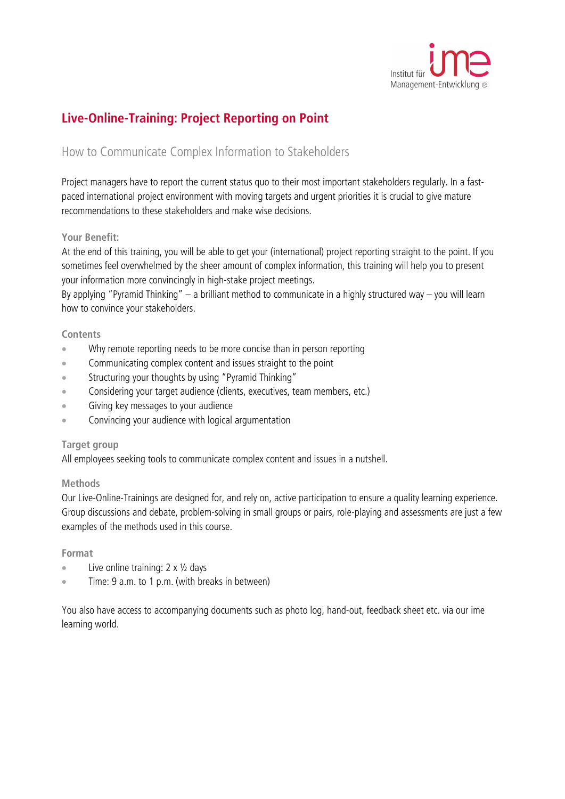

# **Live-Online-Training: Project Reporting on Point**

## How to Communicate Complex Information to Stakeholders

Project managers have to report the current status quo to their most important stakeholders regularly. In a fastpaced international project environment with moving targets and urgent priorities it is crucial to give mature recommendations to these stakeholders and make wise decisions.

### **Your Benefit:**

At the end of this training, you will be able to get your (international) project reporting straight to the point. If you sometimes feel overwhelmed by the sheer amount of complex information, this training will help you to present your information more convincingly in high-stake project meetings.

By applying "Pyramid Thinking" – a brilliant method to communicate in a highly structured way – you will learn how to convince your stakeholders.

#### **Contents**

- Why remote reporting needs to be more concise than in person reporting
- Communicating complex content and issues straight to the point
- Structuring your thoughts by using "Pyramid Thinking"
- Considering your target audience (clients, executives, team members, etc.)
- Giving key messages to your audience
- Convincing your audience with logical argumentation

#### **Target group**

All employees seeking tools to communicate complex content and issues in a nutshell.

#### **Methods**

Our Live-Online-Trainings are designed for, and rely on, active participation to ensure a quality learning experience. Group discussions and debate, problem-solving in small groups or pairs, role-playing and assessments are just a few examples of the methods used in this course.

#### **Format**

- Live online training:  $2 \times \frac{1}{2}$  days
- Time: 9 a.m. to 1 p.m. (with breaks in between)

You also have access to accompanying documents such as photo log, hand-out, feedback sheet etc. via our ime learning world.